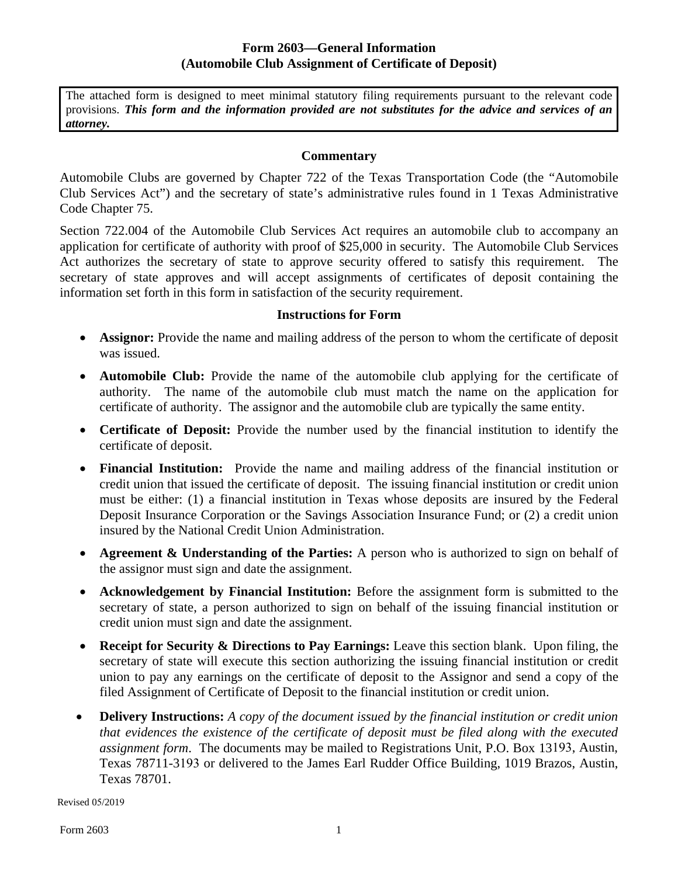# **Form 2603—General Information (Automobile Club Assignment of Certificate of Deposit)**

The attached form is designed to meet minimal statutory filing requirements pursuant to the relevant code provisions. *This form and the information provided are not substitutes for the advice and services of an attorney.*

### **Commentary**

Automobile Clubs are governed by Chapter 722 of the Texas Transportation Code (the "Automobile Club Services Act") and the secretary of state's administrative rules found in 1 Texas Administrative Code Chapter 75.

Section 722.004 of the Automobile Club Services Act requires an automobile club to accompany an application for certificate of authority with proof of \$25,000 in security. The Automobile Club Services Act authorizes the secretary of state to approve security offered to satisfy this requirement. The secretary of state approves and will accept assignments of certificates of deposit containing the information set forth in this form in satisfaction of the security requirement.

#### **Instructions for Form**

- **Assignor:** Provide the name and mailing address of the person to whom the certificate of deposit was issued.
- **Automobile Club:** Provide the name of the automobile club applying for the certificate of authority. The name of the automobile club must match the name on the application for certificate of authority. The assignor and the automobile club are typically the same entity.
- **Certificate of Deposit:** Provide the number used by the financial institution to identify the certificate of deposit.
- **Financial Institution:** Provide the name and mailing address of the financial institution or credit union that issued the certificate of deposit. The issuing financial institution or credit union must be either: (1) a financial institution in Texas whose deposits are insured by the Federal Deposit Insurance Corporation or the Savings Association Insurance Fund; or (2) a credit union insured by the National Credit Union Administration.
- **Agreement & Understanding of the Parties:** A person who is authorized to sign on behalf of the assignor must sign and date the assignment.
- **Acknowledgement by Financial Institution:** Before the assignment form is submitted to the secretary of state, a person authorized to sign on behalf of the issuing financial institution or credit union must sign and date the assignment.
- **Receipt for Security & Directions to Pay Earnings:** Leave this section blank. Upon filing, the secretary of state will execute this section authorizing the issuing financial institution or credit union to pay any earnings on the certificate of deposit to the Assignor and send a copy of the filed Assignment of Certificate of Deposit to the financial institution or credit union.
- **Delivery Instructions:** *A copy of the document issued by the financial institution or credit union that evidences the existence of the certificate of deposit must be filed along with the executed assignment form*. The documents may be mailed to Registrations Unit, P.O. Box 13193, Austin, Texas 78711-3193 or delivered to the James Earl Rudder Office Building, 1019 Brazos, Austin, Texas 78701.

Revised 05/2019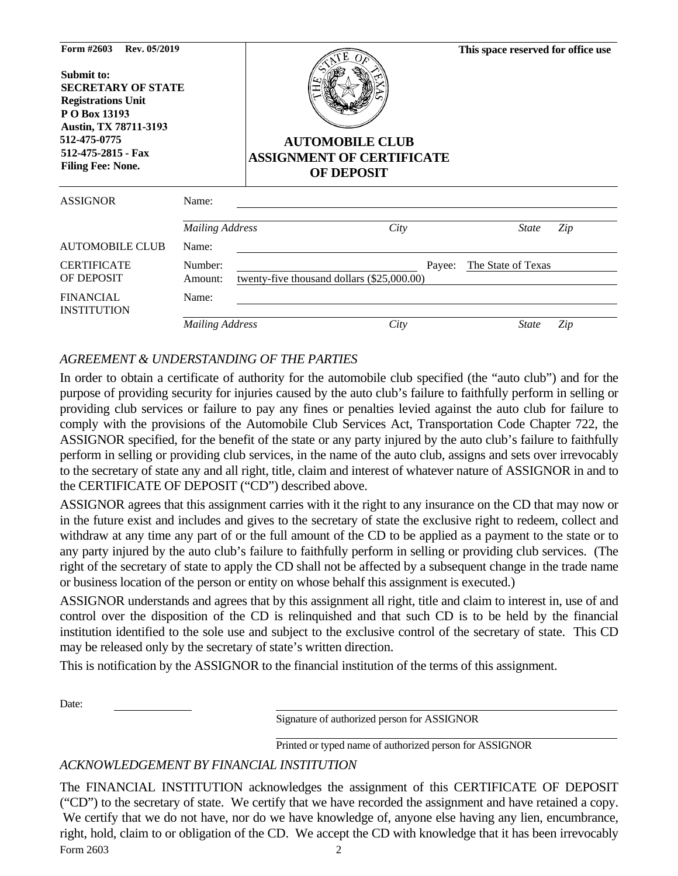| Form #2603<br>Rev. 05/2019<br>Submit to:<br><b>SECRETARY OF STATE</b><br><b>Registrations Unit</b><br>P O Box 13193<br>Austin, TX 78711-3193<br>512-475-0775<br>512-475-2815 - Fax<br><b>Filing Fee: None.</b> |                        | <b>AUTOMOBILE CLUB</b><br><b>ASSIGNMENT OF CERTIFICATE</b><br><b>OF DEPOSIT</b> | This space reserved for office use |  |
|----------------------------------------------------------------------------------------------------------------------------------------------------------------------------------------------------------------|------------------------|---------------------------------------------------------------------------------|------------------------------------|--|
| <b>ASSIGNOR</b>                                                                                                                                                                                                | Name:                  |                                                                                 |                                    |  |
|                                                                                                                                                                                                                | <b>Mailing Address</b> | City                                                                            | <b>State</b><br>Zip                |  |
| <b>AUTOMOBILE CLUB</b>                                                                                                                                                                                         | Name:                  |                                                                                 |                                    |  |
| <b>CERTIFICATE</b><br>OF DEPOSIT                                                                                                                                                                               | Number:<br>Amount:     | Payee:<br>twenty-five thousand dollars (\$25,000.00)                            | The State of Texas                 |  |
| <b>FINANCIAL</b><br><b>INSTITUTION</b>                                                                                                                                                                         | Name:                  |                                                                                 |                                    |  |
|                                                                                                                                                                                                                | <b>Mailing Address</b> | City                                                                            | <i>State</i><br>Zip                |  |

# *AGREEMENT & UNDERSTANDING OF THE PARTIES*

In order to obtain a certificate of authority for the automobile club specified (the "auto club") and for the purpose of providing security for injuries caused by the auto club's failure to faithfully perform in selling or providing club services or failure to pay any fines or penalties levied against the auto club for failure to comply with the provisions of the Automobile Club Services Act, Transportation Code Chapter 722, the ASSIGNOR specified, for the benefit of the state or any party injured by the auto club's failure to faithfully perform in selling or providing club services, in the name of the auto club, assigns and sets over irrevocably to the secretary of state any and all right, title, claim and interest of whatever nature of ASSIGNOR in and to the CERTIFICATE OF DEPOSIT ("CD") described above.

ASSIGNOR agrees that this assignment carries with it the right to any insurance on the CD that may now or in the future exist and includes and gives to the secretary of state the exclusive right to redeem, collect and withdraw at any time any part of or the full amount of the CD to be applied as a payment to the state or to any party injured by the auto club's failure to faithfully perform in selling or providing club services. (The right of the secretary of state to apply the CD shall not be affected by a subsequent change in the trade name or business location of the person or entity on whose behalf this assignment is executed.)

ASSIGNOR understands and agrees that by this assignment all right, title and claim to interest in, use of and control over the disposition of the CD is relinquished and that such CD is to be held by the financial institution identified to the sole use and subject to the exclusive control of the secretary of state. This CD may be released only by the secretary of state's written direction.

This is notification by the ASSIGNOR to the financial institution of the terms of this assignment.

Date:

Signature of authorized person for ASSIGNOR

Printed or typed name of authorized person for ASSIGNOR

### *ACKNOWLEDGEMENT BY FINANCIAL INSTITUTION*

Form 2603 2 The FINANCIAL INSTITUTION acknowledges the assignment of this CERTIFICATE OF DEPOSIT ("CD") to the secretary of state. We certify that we have recorded the assignment and have retained a copy. We certify that we do not have, nor do we have knowledge of, anyone else having any lien, encumbrance, right, hold, claim to or obligation of the CD. We accept the CD with knowledge that it has been irrevocably